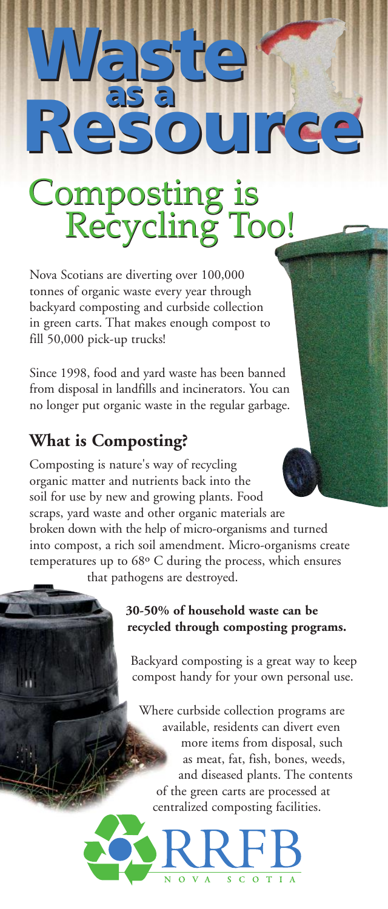# **Waste Waste as a Resource as a Resource**

## Composting is<br>Recycling Too!

Nova Scotians are diverting over 100,000 tonnes of organic waste every year through backyard composting and curbside collection in green carts. That makes enough compost to fill 50,000 pick-up trucks!

Since 1998, food and yard waste has been banned from disposal in landfills and incinerators. You can no longer put organic waste in the regular garbage.

### **What is Composting?**

Composting is nature's way of recycling organic matter and nutrients back into the soil for use by new and growing plants. Food scraps, yard waste and other organic materials are broken down with the help of micro-organisms and turned into compost, a rich soil amendment. Micro-organisms create temperatures up to 68º C during the process, which ensures that pathogens are destroyed.

#### **30-50% of household waste can be recycled through composting programs.**

Backyard composting is a great way to keep compost handy for your own personal use.

Where curbside collection programs are available, residents can divert even more items from disposal, such as meat, fat, fish, bones, weeds, and diseased plants. The contents of the green carts are processed at centralized composting facilities.